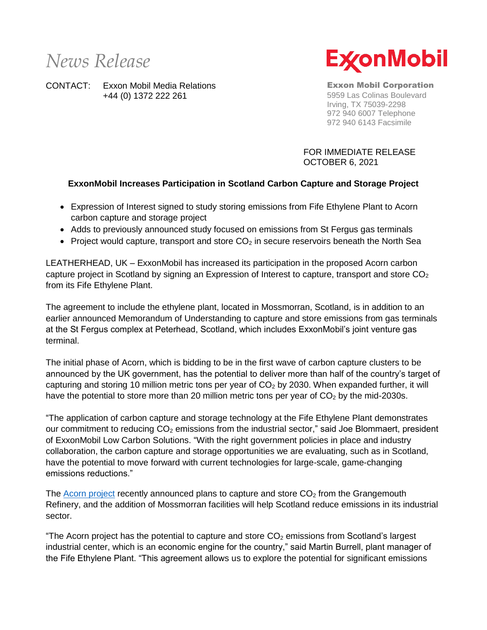## *News Release*

CONTACT: Exxon Mobil Media Relations +44 (0) 1372 222 261



Exxon Mobil Corporation 5959 Las Colinas Boulevard Irving, TX 75039-2298 972 940 6007 Telephone 972 940 6143 Facsimile

FOR IMMEDIATE RELEASE OCTOBER 6, 2021

## **ExxonMobil Increases Participation in Scotland Carbon Capture and Storage Project**

- Expression of Interest signed to study storing emissions from Fife Ethylene Plant to Acorn carbon capture and storage project
- Adds to previously announced study focused on emissions from St Fergus gas terminals
- Project would capture, transport and store  $CO<sub>2</sub>$  in secure reservoirs beneath the North Sea

LEATHERHEAD, UK – ExxonMobil has increased its participation in the proposed Acorn carbon capture project in Scotland by signing an Expression of Interest to capture, transport and store  $CO<sub>2</sub>$ from its Fife Ethylene Plant.

The agreement to include the ethylene plant, located in Mossmorran, Scotland, is in addition to an earlier announced Memorandum of Understanding to capture and store emissions from gas terminals at the St Fergus complex at Peterhead, Scotland, which includes ExxonMobil's joint venture gas terminal.

The initial phase of Acorn, which is bidding to be in the first wave of carbon capture clusters to be announced by the UK government, has the potential to deliver more than half of the country's target of capturing and storing 10 million metric tons per year of  $CO<sub>2</sub>$  by 2030. When expanded further, it will have the potential to store more than 20 million metric tons per year of  $CO<sub>2</sub>$  by the mid-2030s.

"The application of carbon capture and storage technology at the Fife Ethylene Plant demonstrates our commitment to reducing CO<sub>2</sub> emissions from the industrial sector," said Joe Blommaert, president of ExxonMobil Low Carbon Solutions. "With the right government policies in place and industry collaboration, the carbon capture and storage opportunities we are evaluating, such as in Scotland, have the potential to move forward with current technologies for large-scale, game-changing emissions reductions."

The [Acorn project](https://theacornproject.uk/2021/07/09/acorn-ccs-project-to-partner-with-ineos-and-petroineos-at-grangemouth-to-capture-and-store-up-to-one-million-tonnes-of-co2-by-2027/) recently announced plans to capture and store  $CO<sub>2</sub>$  from the Grangemouth Refinery, and the addition of Mossmorran facilities will help Scotland reduce emissions in its industrial sector.

"The Acorn project has the potential to capture and store  $CO<sub>2</sub>$  emissions from Scotland's largest industrial center, which is an economic engine for the country," said Martin Burrell, plant manager of the Fife Ethylene Plant. "This agreement allows us to explore the potential for significant emissions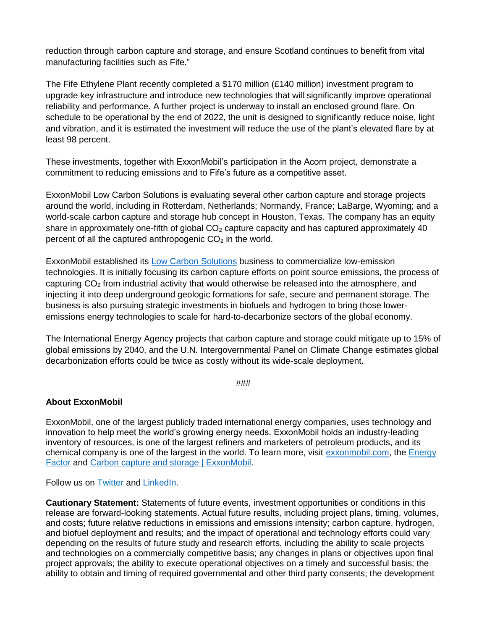reduction through carbon capture and storage, and ensure Scotland continues to benefit from vital manufacturing facilities such as Fife."

The Fife Ethylene Plant recently completed a \$170 million (£140 million) investment program to upgrade key infrastructure and introduce new technologies that will significantly improve operational reliability and performance. A further project is underway to install an enclosed ground flare. On schedule to be operational by the end of 2022, the unit is designed to significantly reduce noise, light and vibration, and it is estimated the investment will reduce the use of the plant's elevated flare by at least 98 percent.

These investments, together with ExxonMobil's participation in the Acorn project, demonstrate a commitment to reducing emissions and to Fife's future as a competitive asset.

ExxonMobil Low Carbon Solutions is evaluating several other carbon capture and storage projects around the world, including in Rotterdam, Netherlands; Normandy, France; LaBarge, Wyoming; and a world-scale carbon capture and storage hub concept in Houston, Texas. The company has an equity share in approximately one-fifth of global  $CO<sub>2</sub>$  capture capacity and has captured approximately 40 percent of all the captured anthropogenic  $CO<sub>2</sub>$  in the world.

ExxonMobil established its [Low Carbon Solutions](https://corporate.exxonmobil.com/News/Newsroom/News-releases/2021/0201_ExxonMobil-Low-Carbon-Solutions-to-commercialize-emission-reduction-technology) business to commercialize low-emission technologies. It is initially focusing its carbon capture efforts on point source emissions, the process of capturing  $CO<sub>2</sub>$  from industrial activity that would otherwise be released into the atmosphere, and injecting it into deep underground geologic formations for safe, secure and permanent storage. The business is also pursuing strategic investments in biofuels and hydrogen to bring those loweremissions energy technologies to scale for hard-to-decarbonize sectors of the global economy.

The International Energy Agency projects that carbon capture and storage could mitigate up to 15% of global emissions by 2040, and the U.N. Intergovernmental Panel on Climate Change estimates global decarbonization efforts could be twice as costly without its wide-scale deployment.

###

## **About ExxonMobil**

ExxonMobil, one of the largest publicly traded international energy companies, uses technology and innovation to help meet the world's growing energy needs. ExxonMobil holds an industry-leading inventory of resources, is one of the largest refiners and marketers of petroleum products, and its chemical company is one of the largest in the world. To learn more, visit [exxonmobil.com,](http://www.exxonmobil.com/) the [Energy](https://energyfactor.exxonmobil.com/)  [Factor](https://energyfactor.exxonmobil.com/) and [Carbon capture and storage | ExxonMobil.](https://corporate.exxonmobil.com/Energy-and-innovation/Carbon-capture-and-storage)

Follow us on [Twitter](https://twitter.com/exxonmobil) and [LinkedIn.](https://www.linkedin.com/company/exxonmobil/)

**Cautionary Statement:** Statements of future events, investment opportunities or conditions in this release are forward-looking statements. Actual future results, including project plans, timing, volumes, and costs; future relative reductions in emissions and emissions intensity; carbon capture, hydrogen, and biofuel deployment and results; and the impact of operational and technology efforts could vary depending on the results of future study and research efforts, including the ability to scale projects and technologies on a commercially competitive basis; any changes in plans or objectives upon final project approvals; the ability to execute operational objectives on a timely and successful basis; the ability to obtain and timing of required governmental and other third party consents; the development